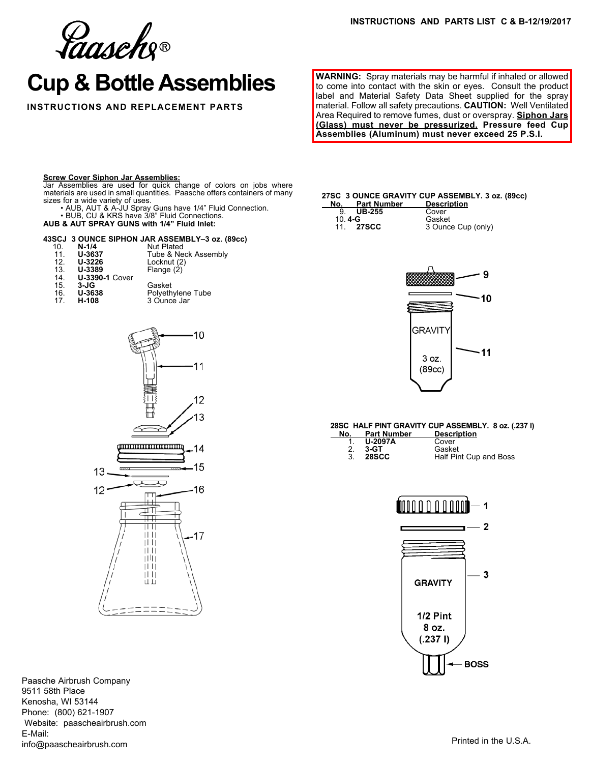Gaasche®

# **Cup & Bottle Assemblies**

**INSTRUCTIONS AND REPLACEMENT PARTS**

**WARNING:** Spray materials may be harmful if inhaled or allowed to come into contact with the skin or eyes. Consult the product label and Material Safety Data Sheet supplied for the spray material. Follow all safety precautions. **CAUTION:** Well Ventilated Area Required to remove fumes, dust or overspray. **Siphon Jars (Glass) must never be pressurized. Pressure feed Cup Assemblies (Aluminum) must never exceed 25 P.S.I.**

#### **Screw Cover Siphon Jar Assemblies:**

Jar Assemblies are used for quick change of colors on jobs where materials are used in small quantities. Paasche offers containers of many sizes for a wide variety of uses.

• AUB, AUT & A-JU Spray Guns have 1/4" Fluid Connection. • BUB, CU & KRS have 3/8" Fluid Connections.

# **AUB & AUT SPRAY GUNS with 1/4" Fluid Inlet:**

### **43SCJ 3 OUNCE SIPHON JAR ASSEMBLY–3 oz. (89cc)**

| 10. | $N-1/4$               | <b>Nut Plated</b>    |
|-----|-----------------------|----------------------|
| 11. | U-3637                | Tube & Neck Assembly |
| 12. | U-3226                | Locknut (2)          |
| 13. | U-3389                | Flange (2)           |
| 14. | <b>U-3390-1 Cover</b> |                      |
| 15. | $3-JG$                | Gasket               |
| 16. | U-3638                | Polyethylene Tube    |
| 17  | H-108                 | 3 Ounce Jar          |



Paasche Airbrush Company 9511 58th Place Kenosha, WI 53144 Phone: (800) 621-1907 Website: paascheairbrush.com E-Mail: info@paascheairbrush.com

## **27SC 3 OUNCE GRAVITY CUP ASSEMBLY. 3 oz. (89cc)**

| No.    | <b>Part Number</b> | <b>Description</b> |
|--------|--------------------|--------------------|
| 9      | <b>UB-255</b>      | Cover              |
| 10.4-G |                    | Gasket             |
|        | 11. 27SCC          | 3 Ounce Cup (only) |



#### **28SC HALF PINT GRAVITY CUP ASSEMBLY. 8 oz. (.237 l)**

| No. | <b>Part Number</b> | <b>Description</b>     |  |
|-----|--------------------|------------------------|--|
|     | <b>U-2097A</b>     | Cover                  |  |
| 2.  | 3-GT               | Gasket                 |  |
| 3   | <b>28SCC</b>       | Half Pint Cup and Boss |  |